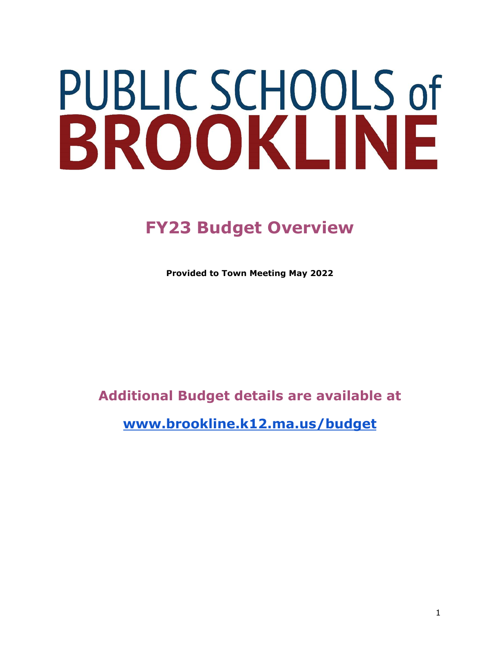# PUBLIC SCHOOLS of BROOKLINE

## **FY23 Budget Overview**

**Provided to Town Meeting May 2022**

## **Additional Budget details are available at**

**[www.brookline.k12.ma.us/budget](http://www.brookline.k12.ma.us/budgetcentral)**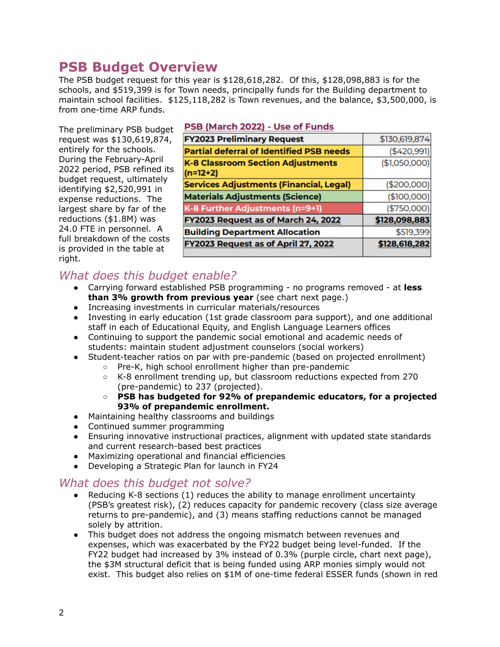## **PSB Budget Overview**

The PSB budget request for this year is \$128,618,282. Of this, \$128,098,883 is for the schools, and \$519,399 is for Town needs, principally funds for the Building department to maintain school facilities. \$125,118,282 is Town revenues, and the balance, \$3,500,000, is from one-time ARP funds.

The preliminary PSB budget request was \$130,619,874, entirely for the schools. During the February-April 2022 period, PSB refined its budget request, ultimately identifying \$2,520,991 in expense reductions. The largest share by far of the reductions (\$1.8M) was 24.0 FTE in personnel. A full breakdown of the costs is provided in the table at right.

#### PSB (March 2022) - Use of Funds

| <b>FY2023 Preliminary Request</b>                      | \$130,619,874 |
|--------------------------------------------------------|---------------|
| <b>Partial deferral of Identified PSB needs</b>        | ( \$420,991)  |
| <b>K-8 Classroom Section Adjustments</b><br>$(n=12+2)$ | (\$1,050,000) |
| <b>Services Adjustments (Financial, Legal)</b>         | (\$200,000)   |
| <b>Materials Adjustments (Science)</b>                 | (\$100,000)   |
| K-8 Further Adjustments (n=9+1)                        | (\$750,000)   |
| FY2023 Request as of March 24, 2022                    | \$128,098,883 |
| <b>Building Department Allocation</b>                  | \$519,399     |
| FY2023 Request as of April 27, 2022                    | \$128,618,282 |
|                                                        |               |

## *What does this budget enable?*

- Carrying forward established PSB programming no programs removed at **less than 3% growth from previous year** (see chart next page.)
- Increasing investments in curricular materials/resources
- Investing in early education (1st grade classroom para support), and one additional staff in each of Educational Equity, and English Language Learners offices
- Continuing to support the pandemic social emotional and academic needs of students: maintain student adjustment counselors (social workers)
- Student-teacher ratios on par with pre-pandemic (based on projected enrollment)
	- Pre-K, high school enrollment higher than pre-pandemic
	- K-8 enrollment trending up, but classroom reductions expected from 270 (pre-pandemic) to 237 (projected).
	- **○ PSB has budgeted for 92% of prepandemic educators, for a projected 93% of prepandemic enrollment.**
- Maintaining healthy classrooms and buildings
- Continued summer programming
- Ensuring innovative instructional practices, alignment with updated state standards and current research-based best practices
- Maximizing operational and financial efficiencies
- Developing a Strategic Plan for launch in FY24

#### *What does this budget not solve?*

- Reducing K-8 sections (1) reduces the ability to manage enrollment uncertainty (PSB's greatest risk), (2) reduces capacity for pandemic recovery (class size average returns to pre-pandemic), and (3) means staffing reductions cannot be managed solely by attrition.
- This budget does not address the ongoing mismatch between revenues and expenses, which was exacerbated by the FY22 budget being level-funded. If the FY22 budget had increased by 3% instead of 0.3% (purple circle, chart next page), the \$3M structural deficit that is being funded using ARP monies simply would not exist. This budget also relies on \$1M of one-time federal ESSER funds (shown in red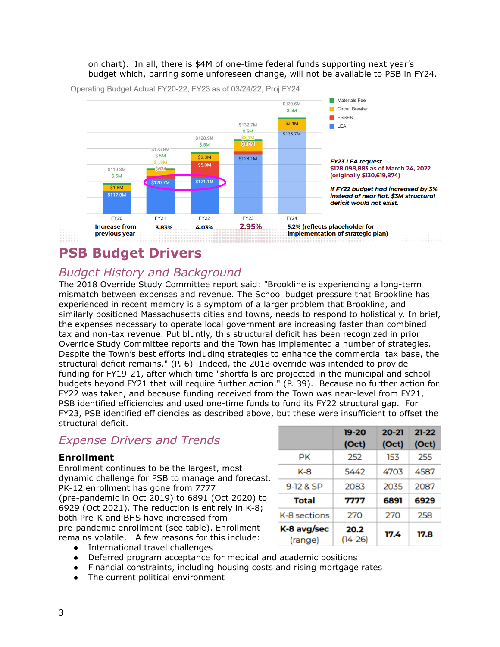#### on chart). In all, there is \$4M of one-time federal funds supporting next year's budget which, barring some unforeseen change, will not be available to PSB in FY24.



Operating Budget Actual FY20-22, FY23 as of 03/24/22, Proj FY24

## **PSB Budget Drivers**

### *Budget History and Background*

The 2018 Override Study Committee report said: "Brookline is experiencing a long-term mismatch between expenses and revenue. The School budget pressure that Brookline has experienced in recent memory is a symptom of a larger problem that Brookline, and similarly positioned Massachusetts cities and towns, needs to respond to holistically. In brief, the expenses necessary to operate local government are increasing faster than combined tax and non-tax revenue. Put bluntly, this structural deficit has been recognized in prior Override Study Committee reports and the Town has implemented a number of strategies. Despite the Town's best efforts including strategies to enhance the commercial tax base, the structural deficit remains." (P. 6) Indeed, the 2018 override was intended to provide funding for FY19-21, after which time "shortfalls are projected in the municipal and school budgets beyond FY21 that will require further action." (P. 39). Because no further action for FY22 was taken, and because funding received from the Town was near-level from FY21, PSB identified efficiencies and used one-time funds to fund its FY22 structural gap. For FY23, PSB identified efficiencies as described above, but these were insufficient to offset the structural deficit.

## *Expense Drivers and Trends*

#### **Enrollment**

Enrollment continues to be the largest, most dynamic challenge for PSB to manage and forecast. PK-12 enrollment has gone from 7777 (pre-pandemic in Oct 2019) to 6891 (Oct 2020) to 6929 (Oct 2021). The reduction is entirely in K-8; both Pre-K and BHS have increased from pre-pandemic enrollment (see table). Enrollment remains volatile. A few reasons for this include:

|                        | 19-20           | $20 - 21$ | $21 - 22$ |
|------------------------|-----------------|-----------|-----------|
|                        | (Oct)           | (Oct)     | (Oct)     |
| РK                     | 252             | 153       | 255       |
| K-8                    | 5442            | 4703      | 4587      |
| 9-12 & SP              | 2083            | 2035      | 2087      |
| Total                  | 7777            | 6891      | 6929      |
| K-8 sections           | 270             | 270       | 258       |
| K-8 avg/sec<br>(range) | 20.2<br>(14-26) | 17.4      | 17.8      |

- International travel challenges
- Deferred program acceptance for medical and academic positions
- Financial constraints, including housing costs and rising mortgage rates
- The current political environment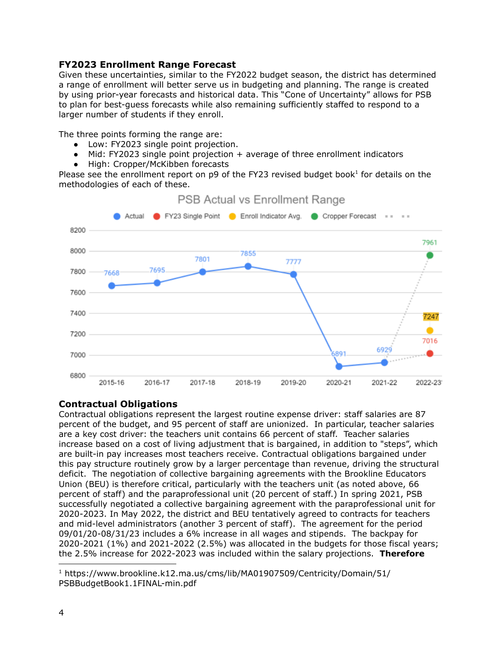#### **FY2023 Enrollment Range Forecast**

Given these uncertainties, similar to the FY2022 budget season, the district has determined a range of enrollment will better serve us in budgeting and planning. The range is created by using prior-year forecasts and historical data. This "Cone of Uncertainty" allows for PSB to plan for best-guess forecasts while also remaining sufficiently staffed to respond to a larger number of students if they enroll.

The three points forming the range are:

- Low: FY2023 single point projection.
- Mid: FY2023 single point projection + average of three enrollment indicators
- High: Cropper/McKibben forecasts

Please see the enrollment report on  $p9$  of the FY23 revised budget book<sup>1</sup> for details on the methodologies of each of these.



#### **PSB Actual vs Enrollment Range**

#### **Contractual Obligations**

Contractual obligations represent the largest routine expense driver: staff salaries are 87 percent of the budget, and 95 percent of staff are unionized. In particular, teacher salaries are a key cost driver: the teachers unit contains 66 percent of staff. Teacher salaries increase based on a cost of living adjustment that is bargained, in addition to "steps", which are built-in pay increases most teachers receive. Contractual obligations bargained under this pay structure routinely grow by a larger percentage than revenue, driving the structural deficit. The negotiation of collective bargaining agreements with the Brookline Educators Union (BEU) is therefore critical, particularly with the teachers unit (as noted above, 66 percent of staff) and the paraprofessional unit (20 percent of staff.) In spring 2021, PSB successfully negotiated a collective bargaining agreement with the paraprofessional unit for 2020-2023. In May 2022, the district and BEU tentatively agreed to contracts for teachers and mid-level administrators (another 3 percent of staff). The agreement for the period 09/01/20-08/31/23 includes a 6% increase in all wages and stipends. The backpay for 2020-2021 (1%) and 2021-2022 (2.5%) was allocated in the budgets for those fiscal years; the 2.5% increase for 2022-2023 was included within the salary projections. **Therefore**

<sup>1</sup> https://www.brookline.k12.ma.us/cms/lib/MA01907509/Centricity/Domain/51/ PSBBudgetBook1.1FINAL-min.pdf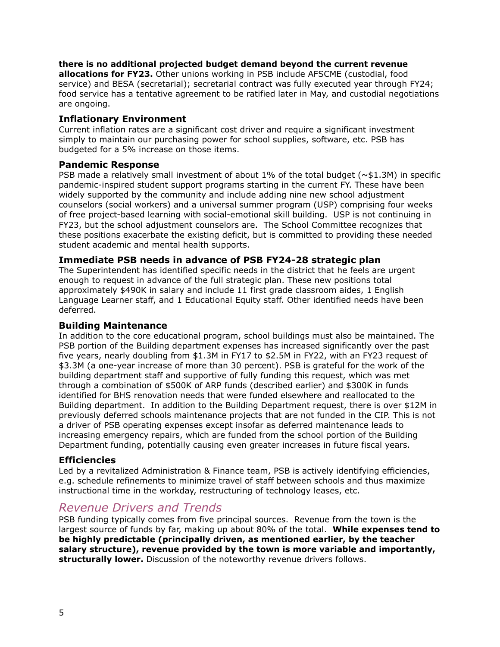#### **there is no additional projected budget demand beyond the current revenue**

**allocations for FY23.** Other unions working in PSB include AFSCME (custodial, food service) and BESA (secretarial); secretarial contract was fully executed year through FY24; food service has a tentative agreement to be ratified later in May, and custodial negotiations are ongoing.

#### **Inflationary Environment**

Current inflation rates are a significant cost driver and require a significant investment simply to maintain our purchasing power for school supplies, software, etc. PSB has budgeted for a 5% increase on those items.

#### **Pandemic Response**

PSB made a relatively small investment of about 1% of the total budget ( $\sim$ \$1.3M) in specific pandemic-inspired student support programs starting in the current FY. These have been widely supported by the community and include adding nine new school adjustment counselors (social workers) and a universal summer program (USP) comprising four weeks of free project-based learning with social-emotional skill building. USP is not continuing in FY23, but the school adjustment counselors are. The School Committee recognizes that these positions exacerbate the existing deficit, but is committed to providing these needed student academic and mental health supports.

#### **Immediate PSB needs in advance of PSB FY24-28 strategic plan**

The Superintendent has identified specific needs in the district that he feels are urgent enough to request in advance of the full strategic plan. These new positions total approximately \$490K in salary and include 11 first grade classroom aides, 1 English Language Learner staff, and 1 Educational Equity staff. Other identified needs have been deferred.

#### **Building Maintenance**

In addition to the core educational program, school buildings must also be maintained. The PSB portion of the Building department expenses has increased significantly over the past five years, nearly doubling from \$1.3M in FY17 to \$2.5M in FY22, with an FY23 request of \$3.3M (a one-year increase of more than 30 percent). PSB is grateful for the work of the building department staff and supportive of fully funding this request, which was met through a combination of \$500K of ARP funds (described earlier) and \$300K in funds identified for BHS renovation needs that were funded elsewhere and reallocated to the Building department. In addition to the Building Department request, there is over \$12M in previously deferred schools maintenance projects that are not funded in the CIP. This is not a driver of PSB operating expenses except insofar as deferred maintenance leads to increasing emergency repairs, which are funded from the school portion of the Building Department funding, potentially causing even greater increases in future fiscal years.

#### **Efficiencies**

Led by a revitalized Administration & Finance team, PSB is actively identifying efficiencies, e.g. schedule refinements to minimize travel of staff between schools and thus maximize instructional time in the workday, restructuring of technology leases, etc.

#### *Revenue Drivers and Trends*

PSB funding typically comes from five principal sources. Revenue from the town is the largest source of funds by far, making up about 80% of the total. **While expenses tend to be highly predictable (principally driven, as mentioned earlier, by the teacher salary structure), revenue provided by the town is more variable and importantly, structurally lower.** Discussion of the noteworthy revenue drivers follows.